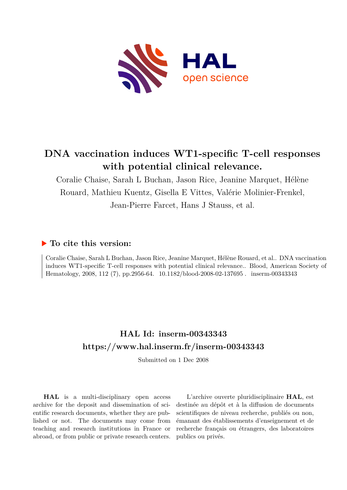

# **DNA vaccination induces WT1-specific T-cell responses with potential clinical relevance.**

Coralie Chaise, Sarah L Buchan, Jason Rice, Jeanine Marquet, Hélène Rouard, Mathieu Kuentz, Gisella E Vittes, Valérie Molinier-Frenkel, Jean-Pierre Farcet, Hans J Stauss, et al.

# **To cite this version:**

Coralie Chaise, Sarah L Buchan, Jason Rice, Jeanine Marquet, Hélène Rouard, et al.. DNA vaccination induces WT1-specific T-cell responses with potential clinical relevance.. Blood, American Society of Hematology, 2008, 112 (7), pp.2956-64. 10.1182/blood-2008-02-137695. inserm-00343343

# **HAL Id: inserm-00343343 <https://www.hal.inserm.fr/inserm-00343343>**

Submitted on 1 Dec 2008

**HAL** is a multi-disciplinary open access archive for the deposit and dissemination of scientific research documents, whether they are published or not. The documents may come from teaching and research institutions in France or abroad, or from public or private research centers.

L'archive ouverte pluridisciplinaire **HAL**, est destinée au dépôt et à la diffusion de documents scientifiques de niveau recherche, publiés ou non, émanant des établissements d'enseignement et de recherche français ou étrangers, des laboratoires publics ou privés.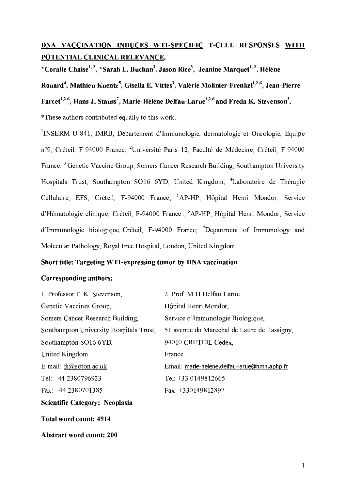# DNA VACCINATION INDUCES WT1-SPECIFIC T-CELL RESPONSES WITH POTENTIAL CLINICAL RELEVANCE.

\*Coralie Chaise<sup>1, 2</sup>, \*Sarah L. Buchan<sup>3</sup>, Jason Rice<sup>3</sup>, Jeanine Marquet<sup>1, 2</sup>, Hélène

Rouard<sup>4</sup>, Mathieu Kuentz<sup>5</sup>, Gisella E. Vittes<sup>3</sup>, Valérie Molinier-Frenkel<sup>1,2,6</sup>, Jean-Pierre

Farcet<sup>1,2,6</sup>, Hans J. Stauss<sup>7</sup>, Marie-Hélène Delfau-Larue<sup>1,2,6</sup> and Freda K. Stevenson<sup>3</sup>.

\*These authors contributed equally to this work.

<sup>1</sup>INSERM U-841, IMRB, Département d'Immunologie, dermatologie et Oncologie, Equipe n°9, Créteil, F-94000 France; <sup>2</sup>Université Paris 12, Faculté de Médecine, Créteil, F-94000 France;<sup>3</sup> Genetic Vaccine Group, Somers Cancer Research Building, Southampton University Hospitals Trust, Southampton SO16 6YD, United Kingdom; <sup>4</sup>Laboratoire de Thérapie Cellulaire, EFS, Créteil, F-94000 France; <sup>5</sup>AP-HP, Hôpital Henri Mondor, Service d'Hématologie clinique. Créteil. F-94000 France : <sup>6</sup>AP-HP. Hôpital Henri Mondor. Service d'Immunologie biologique, Créteil, F-94000 France, <sup>7</sup>Department of Immunology and Molecular Pathology, Royal Free Hospital, London, United Kingdom.

# Short title: Targeting WT1-expressing tumor by DNA vaccination

# **Corresponding authors:**

| 1. Professor F. K. Stevenson,           | 2. Prof. M-H Delfau-Larue                    |
|-----------------------------------------|----------------------------------------------|
| Genetic Vaccines Group,                 | Hôpital Henri Mondor,                        |
| Somers Cancer Research Building,        | Service d'Immunologie Biologique,            |
| Southampton University Hospitals Trust, | 51 avenue du Marechal de Lattre de Tassigny. |
| Southampton SO16 6YD,                   | 94010 CRETEIL Cedex,                         |
| United Kingdom                          | France.                                      |
| E-mail: $fs@soton.ac.uk$                | Email: marie-helene.delfau-larue@hmn.aphp.fr |
| Tel: +44 2380796923                     | Tel: $+330149812665$                         |
| Fax: +44 2380701385                     | Fax: $+330149812897$                         |
| Scientific Category: Neoplasia          |                                              |
| Total word count: 4914                  |                                              |
| <b>Abstract word count: 200</b>         |                                              |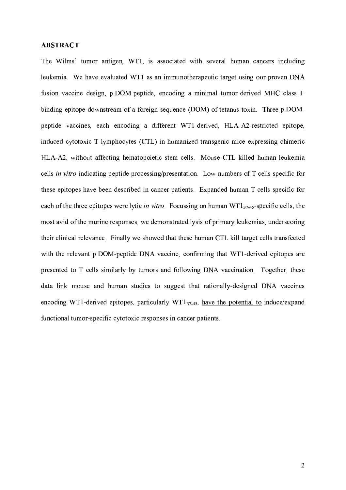#### **ABSTRACT**

The Wilms' tumor antigen, WT1, is associated with several human cancers including leukemia. We have evaluated WT1 as an immunotherapeutic target using our proven DNA fusion vaccine design, p.DOM-peptide, encoding a minimal tumor-derived MHC class Ibinding epitope downstream of a foreign sequence (DOM) of tetanus toxin. Three p.DOMpeptide vaccines, each encoding a different WT1-derived, HLA-A2-restricted epitope, induced cytotoxic T lymphocytes (CTL) in humanized transgenic mice expressing chimeric HLA-A2, without affecting hematopoietic stem cells. Mouse CTL killed human leukemia cells in vitro indicating peptide processing/presentation. Low numbers of T cells specific for these epitopes have been described in cancer patients. Expanded human T cells specific for each of the three epitopes were lytic *in vitro*. Focussing on human  $WT1_{37-45}$ -specific cells, the most avid of the murine responses, we demonstrated lysis of primary leukemias, underscoring their clinical relevance. Finally we showed that these human CTL kill target cells transfected with the relevant p.DOM-peptide DNA vaccine, confirming that WT1-derived epitopes are presented to T cells similarly by tumors and following DNA vaccination. Together, these data link mouse and human studies to suggest that rationally-designed DNA vaccines encoding WT1-derived epitopes, particularly WT1 $_{37-45}$ , have the potential to induce/expand functional tumor-specific cytotoxic responses in cancer patients.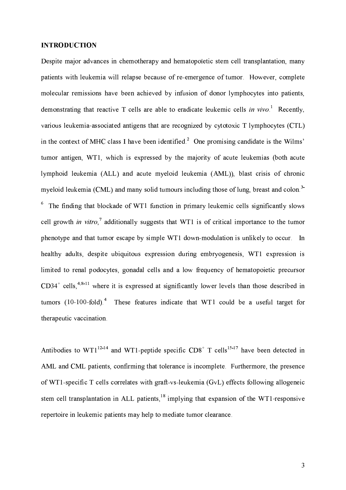### **INTRODUCTION**

Despite major advances in chemotherapy and hematopoïetic stem cell transplantation, many patients with leukemia will relapse because of re-emergence of tumor. However, complete molecular remissions have been achieved by infusion of donor lymphocytes into patients, demonstrating that reactive T cells are able to eradicate leukemic cells in vivo  $1$  Recently. various leukemia-associated antigens that are recognized by cytotoxic T lymphocytes (CTL) in the context of MHC class I have been identified.<sup>2</sup> One promising candidate is the Wilms' tumor antigen, WT1, which is expressed by the majority of acute leukemias (both acute lymphoid leukemia (ALL) and acute myeloid leukemia (AML)), blast crisis of chronic myeloid leukemia (CML) and many solid tumours including those of lung, breast and colon.<sup>3</sup> <sup>6</sup> The finding that blockade of WT1 function in primary leukemic cells significantly slows cell growth *in vitro*,<sup>7</sup> additionally suggests that WT1 is of critical importance to the tumor phenotype and that tumor escape by simple WT1 down-modulation is unlikely to occur. In healthy adults, despite ubiquitous expression during embryogenesis, WT1 expression is limited to renal podocytes, gonadal cells and a low frequency of hematopoietic precursor  $CD34^+$  cells, <sup>4,8-11</sup> where it is expressed at significantly lower levels than those described in These features indicate that WT1 could be a useful target for tumors  $(10-100-fold)^4$ therapeutic vaccination.

Antibodies to  $WT1^{12-14}$  and WT1-peptide specific  $CD8<sup>+</sup>$  T cells<sup>15-17</sup> have been detected in AML and CML patients, confirming that tolerance is incomplete. Furthermore, the presence of WT1-specific T cells correlates with graft-vs-leukemia (GvL) effects following allogeneic stem cell transplantation in ALL patients,  $^{18}$  implying that expansion of the WT1-responsive repertoire in leukemic patients may help to mediate tumor clearance.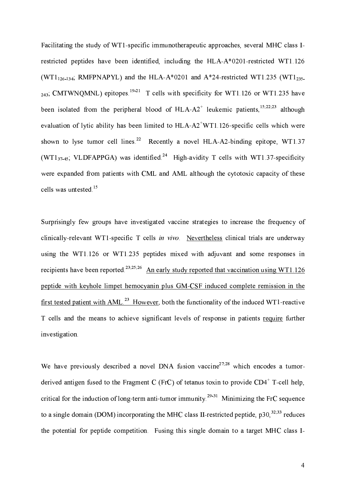Facilitating the study of WT1-specific immunotherapeutic approaches, several MHC class Irestricted peptides have been identified, including the HLA-A\*0201-restricted WT1.126 (WT1<sub>126-134</sub>; RMFPNAPYL) and the HLA-A\*0201 and A\*24-restricted WT1.235 (WT1<sub>235</sub>)  $_{243}$ ; CMTWNQMNL) epitopes  $^{19\cdot21}$  T cells with specificity for WT1.126 or WT1.235 have been isolated from the peripheral blood of HLA- $A2^+$  leukemic patients, <sup>15,22,23</sup> although evaluation of lytic ability has been limited to HLA-A2<sup>+</sup>WT1.126-specific cells which were shown to lyse tumor cell lines.<sup>22</sup> Recently a novel HLA-A2-binding epitope, WT1.37 (WT137-45: VLDFAPPGA) was identified.<sup>24</sup> High-avidity T cells with WT1.37-specificity were expanded from patients with CML and AML although the cytotoxic capacity of these cells was untested.<sup>15</sup>

Surprisingly few groups have investigated vaccine strategies to increase the frequency of clinically-relevant WT1-specific T cells in vivo. Nevertheless clinical trials are underway using the WT1.126 or WT1.235 peptides mixed with adjuvant and some responses in recipients have been reported.<sup>23,25,26</sup> An early study reported that vaccination using WT1.126 peptide with keyhole limpet hemocyanin plus GM-CSF induced complete remission in the first tested patient with AML.<sup>23</sup> However, both the functionality of the induced WT1-reactive T cells and the means to achieve significant levels of response in patients require further investigation.

We have previously described a novel DNA fusion vaccine<sup>27,28</sup> which encodes a tumorderived antigen fused to the Fragment C (FrC) of tetanus toxin to provide  $CD4^+$  T-cell help, critical for the induction of long-term anti-tumor immunity.<sup>29-31</sup> Minimizing the FrC sequence to a single domain (DOM) incorporating the MHC class II-restricted peptide,  $p30$ <sup>32,33</sup> reduces the potential for peptide competition. Fusing this single domain to a target MHC class I-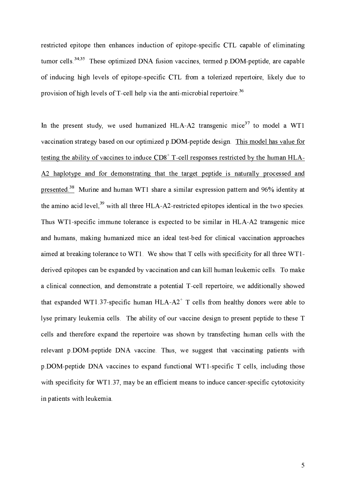restricted epitope then enhances induction of epitope-specific CTL capable of eliminating tumor cells.<sup>34,35</sup> These optimized DNA fusion vaccines, termed  $p$  DOM-peptide, are capable of inducing high levels of epitope-specific CTL from a tolerized repertoire, likely due to provision of high levels of T-cell help via the anti-microbial repertoire.<sup>36</sup>

In the present study, we used humanized HLA-A2 transgenic mice<sup>37</sup> to model a WT1 vaccination strategy based on our optimized p.DOM-peptide design. This model has value for testing the ability of vaccines to induce CD8<sup>+</sup> T-cell responses restricted by the human HLA-A2 haplotype and for demonstrating that the target peptide is naturally processed and presented.<sup>38</sup> Murine and human WT1 share a similar expression pattern and 96% identity at the amino acid level,<sup>39</sup> with all three HLA-A2-restricted epitopes identical in the two species. Thus WT1-specific immune tolerance is expected to be similar in HLA-A2 transgenic mice and humans, making humanized mice an ideal test-bed for clinical vaccination approaches aimed at breaking tolerance to WT1. We show that T cells with specificity for all three WT1derived epitopes can be expanded by vaccination and can kill human leukemic cells. To make a clinical connection, and demonstrate a potential T-cell repertoire, we additionally showed that expanded WT1.37-specific human HLA-A2<sup>+</sup> T cells from healthy donors were able to lyse primary leukemia cells. The ability of our vaccine design to present peptide to these T cells and therefore expand the repertoire was shown by transfecting human cells with the relevant p.DOM-peptide DNA vaccine. Thus, we suggest that vaccinating patients with p.DOM-peptide DNA vaccines to expand functional WT1-specific T cells, including those with specificity for WT1.37, may be an efficient means to induce cancer-specific cytotoxicity in patients with leukemia.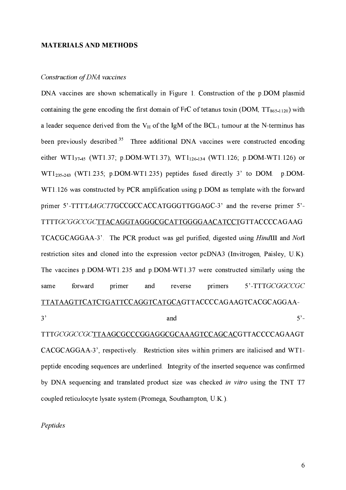#### **MATERIALS AND METHODS**

#### Construction of DNA vaccines

DNA vaccines are shown schematically in Figure 1. Construction of the p.DOM plasmid containing the gene encoding the first domain of FrC of tetanus toxin (DOM,  $TT_{865-1120}$ ) with a leader sequence derived from the  $V_H$  of the IgM of the BCL<sub>1</sub> tumour at the N-terminus has been previously described.<sup>35</sup> Three additional DNA vaccines were constructed encoding either WT137.45 (WT1.37; p.DOM-WT1.37), WT1<sub>126-134</sub> (WT1.126; p.DOM-WT1.126) or  $WT1_{235\cdot 243}$  (WT1.235; p.DOM-WT1.235) peptides fused directly 3' to DOM p.DOM-WT1.126 was constructed by PCR amplification using p.DOM as template with the forward primer 5'-TTTTAAGCTTGCCGCCACCATGGGTTGGAGC-3' and the reverse primer 5'-TTTTGCGGCCGCTTACAGGTAGGGCGCATTGGGGAACATCCTGTTACCCCAGAAG TCACGCAGGAA-3'. The PCR product was gel purified, digested using HindIII and NotI restriction sites and cloned into the expression vector pcDNA3 (Invitrogen, Paisley, U.K). The vaccines p.DOM-WT1.235 and p.DOM-WT1.37 were constructed similarly using the forward primer reverse primers 5'-TTTGCGGCCGC same and TTATAAGTTCATCTGATTCCAGGTCATGCAGTTACCCCAGAAGTCACGCAGGAA- $3'$  $5^\circ$ and

TTTGCGGCCGCTTAAGCGCCCGGAGGCGCAAAGTCCAGCACGTTACCCCAGAAGT CACGCAGGAA-3', respectively. Restriction sites within primers are italicised and WT1peptide encoding sequences are underlined. Integrity of the inserted sequence was confirmed by DNA sequencing and translated product size was checked in vitro using the TNT T7 coupled reticulocyte lysate system (Promega, Southampton, U.K.).

Peptides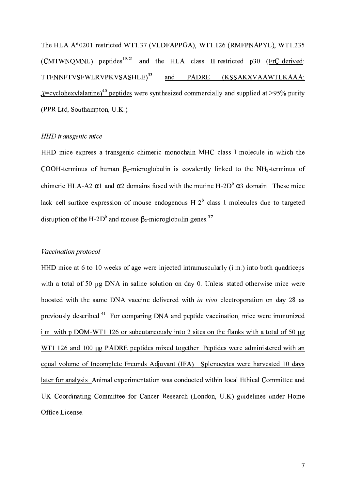The HLA-A\*0201-restricted WT1.37 (VLDFAPPGA), WT1.126 (RMFPNAPYL), WT1.235 (CMTWNQMNL) peptides<sup>19-21</sup> and the HLA class II-restricted p30 (FrC-derived: TTFNNFTVSFWLRVPKVSASHLE)<sup>33</sup> and PADRE (KSSAKXVAAWTLKAAA:  $X=$  cyclohexylalanine)<sup>40</sup> peptides were synthesized commercially and supplied at >95% purity (PPR Ltd, Southampton, U.K.).

#### HHD transgenic mice

HHD mice express a transgenic chimeric monochain MHC class I molecule in which the COOH-terminus of human  $\beta_2$ -microglobulin is covalently linked to the NH<sub>2</sub>-terminus of chimeric HLA-A2  $\alpha$ 1 and  $\alpha$ 2 domains fused with the murine H-2D<sup>b</sup>  $\alpha$ 3 domain. These mice lack cell-surface expression of mouse endogenous  $H-2<sup>b</sup>$  class I molecules due to targeted disruption of the H-2D<sup>b</sup> and mouse  $\beta_2$ -microglobulin genes.<sup>37</sup>

# Vaccination protocol

HHD mice at 6 to 10 weeks of age were injected intramuscularly  $(i.m.)$  into both quadriceps with a total of 50 ug DNA in saline solution on day 0. Unless stated otherwise mice were boosted with the same DNA vaccine delivered with in vivo electroporation on day 28 as previously described.<sup>41</sup> For comparing DNA and peptide vaccination, mice were immunized i.m. with p.DOM-WT1.126 or subcutaneously into 2 sites on the flanks with a total of 50  $\mu$ g WT1.126 and 100 µg PADRE peptides mixed together. Peptides were administered with an equal volume of Incomplete Freunds Adjuvant (IFA). Splenocytes were harvested 10 days later for analysis. Animal experimentation was conducted within local Ethical Committee and UK Coordinating Committee for Cancer Research (London, U.K) guidelines under Home Office License.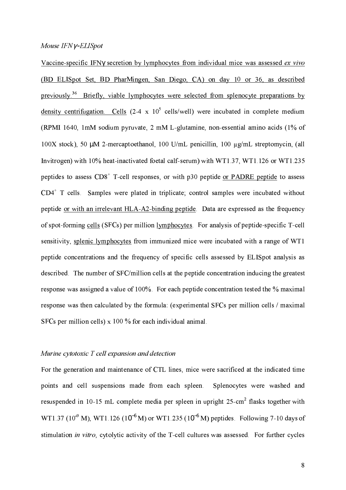#### Mouse IFNy-ELISpot

Vaccine-specific IFNy secretion by lymphocytes from individual mice was assessed ex vivo (BD ELISpot Set, BD PharMingen, San Diego, CA) on day 10 or 36, as described previously.<sup>36</sup> Briefly, viable lymphocytes were selected from splenocyte preparations by density centrifugation. Cells  $(2-4 \times 10^5 \text{ cells/well})$  were incubated in complete medium (RPMI 1640, 1mM sodium pyruvate, 2 mM L-glutamine, non-essential amino acids (1% of 100X stock), 50 μM 2-mercaptoethanol, 100 U/mL penicillin, 100 μg/mL streptomycin, (all Invitrogen) with 10% heat-inactivated foetal calf-serum) with WT1.37, WT1.126 or WT1.235 peptides to assess  $CDS<sup>+</sup>$  T-cell responses, or with p30 peptide or PADRE peptide to assess  $CD4^+$  T cells. Samples were plated in triplicate; control samples were incubated without peptide or with an irrelevant HLA-A2-binding peptide. Data are expressed as the frequency of spot-forming cells (SFCs) per million lymphocytes. For analysis of peptide-specific T-cell sensitivity, splenic lymphocytes from immunized mice were incubated with a range of WT1 peptide concentrations and the frequency of specific cells assessed by ELISpot analysis as described. The number of SFC/million cells at the peptide concentration inducing the greatest response was assigned a value of 100%. For each peptide concentration tested the % maximal response was then calculated by the formula: (experimental SFCs per million cells / maximal SFCs per million cells)  $x 100 \%$  for each individual animal.

# Murine cytotoxic T cell expansion and detection

For the generation and maintenance of CTL lines, mice were sacrificed at the indicated time points and cell suspensions made from each spleen. Splenocytes were washed and resuspended in 10-15 mL complete media per spleen in upright 25-cm<sup>2</sup> flasks together with WT1.37 (10<sup>-9</sup> M), WT1.126 (10<sup>-6</sup> M) or WT1.235 (10<sup>-6</sup> M) peptides. Following 7-10 days of stimulation in vitro, cytolytic activity of the T-cell cultures was assessed. For further cycles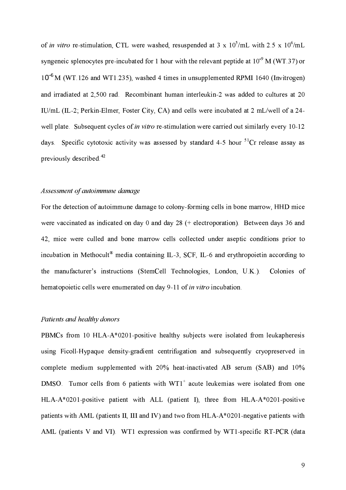of in vitro re-stimulation, CTL were washed, resuspended at 3 x  $10^5$ /mL with 2.5 x  $10^6$ /mL syngeneic splenocytes pre-incubated for 1 hour with the relevant peptide at  $10^{-9}$  M (WT 37) or 10<sup>-6</sup> M (WT 126 and WT1 235), washed 4 times in unsupplemented RPMI 1640 (Invitrogen) and irradiated at 2,500 rad. Recombinant human interleukin-2 was added to cultures at 20 IU/mL (IL-2; Perkin-Elmer, Foster City, CA) and cells were incubated at 2 mL/well of a 24well plate. Subsequent cycles of in vitro re-stimulation were carried out similarly every 10-12 days. Specific cytotoxic activity was assessed by standard 4-5 hour <sup>51</sup>Cr release assay as previously described.<sup>42</sup>

### Assessment of autoimmune damage

For the detection of autoimmune damage to colony-forming cells in bone marrow, HHD mice were vaccinated as indicated on day  $0$  and day  $28$  (+ electroporation). Between days 36 and 42, mice were culled and bone marrow cells collected under aseptic conditions prior to incubation in Methocult<sup>®</sup> media containing IL-3, SCF, IL-6 and erythropoietin according to the manufacturer's instructions (StemCell Technologies, London, U.K.). Colonies of hematopoietic cells were enumerated on day 9-11 of *in vitro* incubation.

### Patients and healthy donors

PBMCs from 10 HLA-A\*0201-positive healthy subjects were isolated from leukapheresis using Ficoll-Hypaque density-gradient centrifugation and subsequently cryopreserved in complete medium supplemented with 20% heat-inactivated AB serum (SAB) and 10% DMSO. Tumor cells from 6 patients with  $WT1^+$  acute leukemias were isolated from one HLA-A\*0201-positive patient with ALL (patient I), three from HLA-A\*0201-positive patients with AML (patients II, III and IV) and two from HLA-A\*0201-negative patients with AML (patients V and VI). WT1 expression was confirmed by WT1-specific RT-PCR (data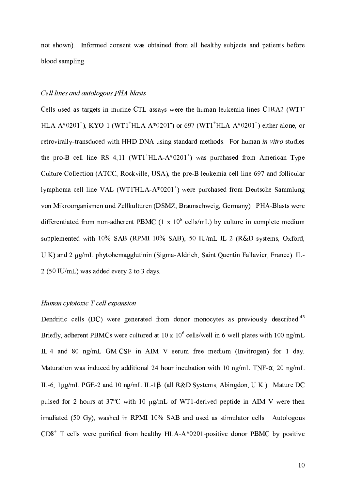not shown). Informed consent was obtained from all healthy subjects and patients before blood sampling.

#### Cell lines and autologous PHA blasts

Cells used as targets in murine CTL assays were the human leukemia lines C1RA2 (WT1) HLA-A\*0201<sup>+</sup>), KYO-1 (WT1<sup>+</sup>HLA-A\*0201) or 697 (WT1<sup>+</sup>HLA-A\*0201<sup>+</sup>) either alone, or retrovirally-transduced with HHD DNA using standard methods. For human in vitro studies the pro-B cell line RS 4.11 (WT1<sup>+</sup>HLA-A\*0201<sup>+</sup>) was purchased from American Type Culture Collection (ATCC, Rockville, USA), the pre-B leukemia cell line 697 and follicular lymphoma cell line VAL (WT1 HLA-A\*0201<sup>+</sup>) were purchased from Deutsche Sammlung von Mikroorganismen und Zellkulturen (DSMZ, Braunschweig, Germany). PHA-Blasts were differentiated from non-adherent PBMC  $(1 \times 10^6 \text{ cells/mL})$  by culture in complete medium supplemented with 10% SAB (RPMI 10% SAB), 50 IU/mL IL-2 (R&D systems, Oxford, U.K) and 2 µg/mL phytohemagglutinin (Sigma-Aldrich, Saint Quentin Fallavier, France). IL-2 (50 IU/mL) was added every 2 to 3 days.

## Human cytotoxic T cell expansion

Dendritic cells (DC) were generated from donor monocytes as previously described.<sup>43</sup> Briefly, adherent PBMCs were cultured at 10 x  $10^6$  cells/well in 6-well plates with 100 ng/mL IL-4 and 80 ng/mL GM-CSF in AIM V serum free medium (Invitrogen) for 1 day. Maturation was induced by additional 24 hour incubation with 10 ng/mL TNF- $\alpha$ , 20 ng/mL IL-6, 1μg/mL PGE-2 and 10 ng/mL IL-1β (all R&D Systems, Abingdon, U.K.). Mature DC pulsed for 2 hours at 37°C with 10 µg/mL of WT1-derived peptide in AIM V were then irradiated (50 Gy), washed in RPMI 10% SAB and used as stimulator cells. Autologous  $CD8<sup>+</sup>$  T cells were purified from healthy HLA-A\*0201-positive donor PBMC by positive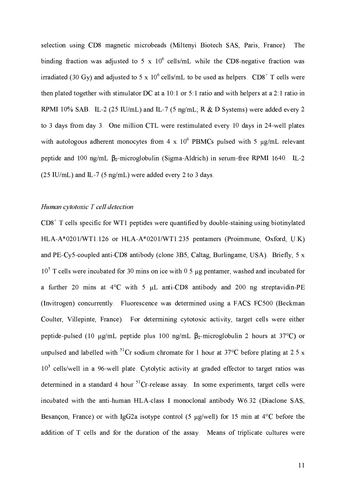selection using CD8 magnetic microbeads (Miltenyi Biotech SAS, Paris, France). The binding fraction was adjusted to 5 x  $10^6$  cells/mL while the CD8-negative fraction was irradiated (30 Gy) and adjusted to 5 x  $10^6$  cells/mL to be used as helpers. CD8<sup>+</sup> T cells were then plated together with stimulator DC at a 10:1 or 5:1 ratio and with helpers at a 2:1 ratio in RPMI 10% SAB IL-2 (25 IU/mL) and IL-7 (5 ng/mL; R & D Systems) were added every 2 to 3 days from day 3. One million CTL were restimulated every 10 days in 24-well plates with autologous adherent monocytes from 4 x  $10^6$  PBMCs pulsed with 5  $\mu$ g/mL relevant peptide and 100 ng/mL  $\beta_2$ -microglobulin (Sigma-Aldrich) in serum-free RPMI 1640. IL-2  $(25 \text{ IU/mL})$  and IL-7 (5 ng/mL) were added every 2 to 3 days.

# Human cytotoxic T cell detection

 $CD8<sup>+</sup>$  T cells specific for WT1 peptides were quantified by double-staining using biotinylated HLA-A\*0201/WT1.126 or HLA-A\*0201/WT1.235 pentamers (Proimmune, Oxford, U.K) and PE-Cy5-coupled anti-CD8 antibody (clone 3B5, Caltag, Burlingame, USA). Briefly, 5 x  $10<sup>5</sup>$  T cells were incubated for 30 mins on ice with 0.5 µg pentamer, washed and incubated for a further 20 mins at 4°C with 5 µL anti-CD8 antibody and 200 ng streptavidin-PE (Invitrogen) concurrently. Fluorescence was determined using a FACS FC500 (Beckman Coulter, Villepinte, France). For determining cytotoxic activity, target cells were either peptide-pulsed (10  $\mu$ g/mL peptide plus 100 ng/mL  $\beta_2$ -microglobulin 2 hours at 37°C) or unpulsed and labelled with <sup>51</sup>Cr sodium chromate for 1 hour at  $37^{\circ}$ C before plating at 2.5 x 10<sup>3</sup> cells/well in a 96-well plate. Cytolytic activity at graded effector to target ratios was determined in a standard 4 hour  ${}^{51}$ Cr-release assay. In some experiments, target cells were incubated with the anti-human HLA-class I monoclonal antibody W6.32 (Diaclone SAS, Besançon, France) or with IgG2a isotype control (5  $\mu$ g/well) for 15 min at 4°C before the addition of T cells and for the duration of the assay. Means of triplicate cultures were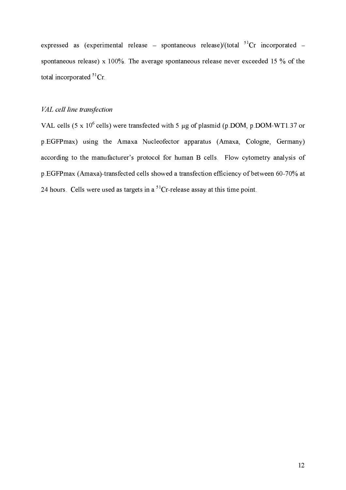expressed as (experimental release – spontaneous release)/(total  ${}^{51}Cr$  incorporated – spontaneous release) x 100%. The average spontaneous release never exceeded 15 % of the total incorporated  ${}^{51}Cr$ 

# VAL cell line transfection

VAL cells (5 x 10<sup>6</sup> cells) were transfected with 5 µg of plasmid (p.DOM, p.DOM-WT1.37 or p.EGFPmax) using the Amaxa Nucleofector apparatus (Amaxa, Cologne, Germany) according to the manufacturer's protocol for human B cells. Flow cytometry analysis of p.EGFPmax (Amaxa)-transfected cells showed a transfection efficiency of between 60-70% at 24 hours. Cells were used as targets in a  ${}^{51}Cr$ -release assay at this time point.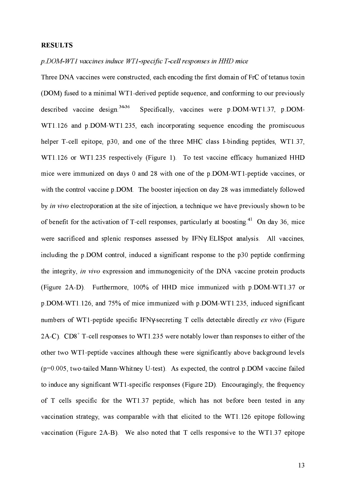### **RESULTS**

#### p.DOM-WT1 vaccines induce WT1-specific T-cell responses in HHD mice

Three DNA vaccines were constructed, each encoding the first domain of FrC of tetanus toxin (DOM) fused to a minimal WT1-derived peptide sequence, and conforming to our previously described vaccine design  $34-36$ Specifically, vaccines were p.DOM-WT1.37, p.DOM-WT1.126 and p.DOM-WT1.235, each incorporating sequence encoding the promiscuous helper T-cell epitope, p30, and one of the three MHC class I-binding peptides, WT1.37, WT1.126 or WT1.235 respectively (Figure 1). To test vaccine efficacy humanized HHD mice were immunized on days 0 and 28 with one of the p.DOM-WT1-peptide vaccines, or with the control vaccine p.DOM. The booster injection on day 28 was immediately followed by in vivo electroporation at the site of injection, a technique we have previously shown to be of benefit for the activation of T-cell responses, particularly at boosting <sup>41</sup> On day 36, mice were sacrificed and splenic responses assessed by IFNy ELISpot analysis. All vaccines, including the p.DOM control, induced a significant response to the p30 peptide confirming the integrity, in vivo expression and immunogenicity of the DNA vaccine protein products (Figure 2A-D). Furthermore, 100% of HHD mice immunized with p.DOM-WT1.37 or p.DOM-WT1.126, and 75% of mice immunized with p.DOM-WT1.235, induced significant numbers of WT1-peptide specific IFNy-secreting T cells detectable directly ex vivo (Figure 2A-C).  $CD8^+$  T-cell responses to WT1.235 were notably lower than responses to either of the other two WT1-peptide vaccines although these were significantly above background levels  $(p=0.005,$  two-tailed Mann-Whitney U-test). As expected, the control p.DOM vaccine failed to induce any significant WT1-specific responses (Figure 2D). Encouragingly, the frequency of T cells specific for the WT1.37 peptide, which has not before been tested in any vaccination strategy, was comparable with that elicited to the WT1.126 epitope following vaccination (Figure 2A-B). We also noted that T cells responsive to the WT1.37 epitope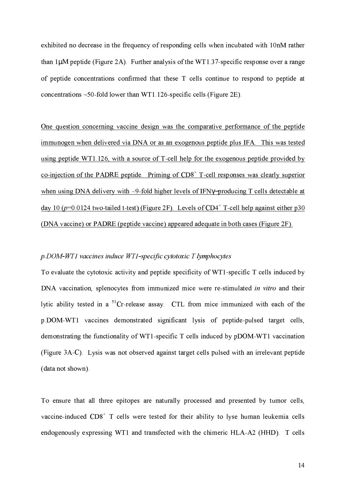exhibited no decrease in the frequency of responding cells when incubated with 10nM rather than  $1\mu$ M peptide (Figure 2A). Further analysis of the WT1.37-specific response over a range of peptide concentrations confirmed that these T cells continue to respond to peptide at concentrations  $\sim$  50-fold lower than WT1 126-specific cells (Figure 2E).

One question concerning vaccine design was the comparative performance of the peptide immunogen when delivered via DNA or as an exogenous peptide plus IFA. This was tested using peptide WT1.126, with a source of T-cell help for the exogenous peptide provided by co-injection of the PADRE peptide. Priming of  $CD8<sup>+</sup>$  T-cell responses was clearly superior when using DNA delivery with  $\sim$ 9-fold higher levels of IFN $\gamma$ -producing T cells detectable at day 10 ( $p=0.0124$  two-tailed t-test) (Figure 2F). Levels of CD4<sup>+</sup> T-cell help against either p30 (DNA vaccine) or PADRE (peptide vaccine) appeared adequate in both cases (Figure 2F).

## $p$ .DOM-WT1 vaccines induce WT1-specific cytotoxic T lymphocytes

To evaluate the cytotoxic activity and peptide specificity of WT1-specific T cells induced by DNA vaccination, splenocytes from immunized mice were re-stimulated in vitro and their lytic ability tested in a <sup>51</sup>Cr-release assay. CTL from mice immunized with each of the p.DOM-WT1 vaccines demonstrated significant lysis of peptide-pulsed target cells, demonstrating the functionality of WT1-specific T cells induced by pDOM-WT1 vaccination (Figure 3A-C). Lysis was not observed against target cells pulsed with an irrelevant peptide (data not shown).

To ensure that all three epitopes are naturally processed and presented by tumor cells, vaccine-induced CD8<sup>+</sup> T cells were tested for their ability to lyse human leukemia cells endogenously expressing WT1 and transfected with the chimeric HLA-A2 (HHD). T cells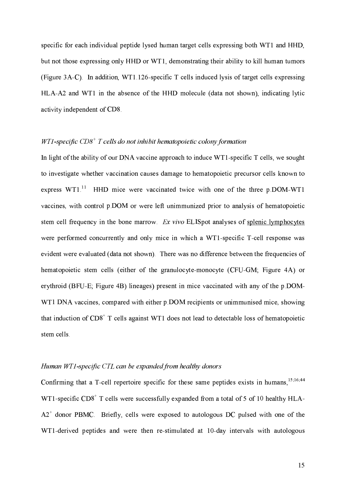specific for each individual peptide lysed human target cells expressing both WT1 and HHD, but not those expressing only HHD or WT1, demonstrating their ability to kill human tumors (Figure 3A-C). In addition, WT1.126-specific T cells induced lysis of target cells expressing HLA-A2 and WT1 in the absence of the HHD molecule (data not shown), indicating lytic activity independent of CD8.

# $WT1$ -specific  $CD8<sup>+</sup>$  T cells do not inhibit hematopoietic colony formation

In light of the ability of our DNA vaccine approach to induce WT1-specific T cells, we sought to investigate whether vaccination causes damage to hematopoietic precursor cells known to express  $WT1<sup>11</sup>$  HHD mice were vaccinated twice with one of the three p.DOM-WT1 vaccines, with control p.DOM or were left unimmunized prior to analysis of hematopoietic stem cell frequency in the bone marrow. Ex vivo ELISpot analyses of splenic lymphocytes were performed concurrently and only mice in which a WT1-specific T-cell response was evident were evaluated (data not shown). There was no difference between the frequencies of hematopoietic stem cells (either of the granulocyte-monocyte (CFU-GM; Figure 4A) or erythroid (BFU-E; Figure 4B) lineages) present in mice vaccinated with any of the p.DOM-WT1 DNA vaccines, compared with either p DOM recipients or unimmunised mice, showing that induction of  $CDS^+$  T cells against WT1 does not lead to detectable loss of hematopoietic stem cells.

# Human WT1-specific CTL can be expanded from healthy donors

Confirming that a T-cell repertoire specific for these same peptides exists in humans,<sup>15;16;44</sup> WT1-specific  $CD8<sup>+</sup>$  T cells were successfully expanded from a total of 5 of 10 healthy HLA-A2<sup>+</sup> donor PBMC. Briefly, cells were exposed to autologous DC pulsed with one of the WT1-derived peptides and were then re-stimulated at 10-day intervals with autologous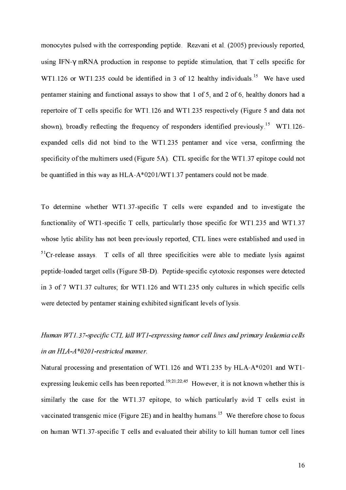monocytes pulsed with the corresponding peptide. Rezvani et al. (2005) previously reported, using IFN-y mRNA production in response to peptide stimulation, that T cells specific for WT1.126 or WT1.235 could be identified in 3 of 12 healthy individuals.<sup>15</sup> We have used pentamer staining and functional assays to show that 1 of 5, and 2 of 6, healthy donors had a repertoire of T cells specific for WT1.126 and WT1.235 respectively (Figure 5 and data not shown), broadly reflecting the frequency of responders identified previously.<sup>15</sup> WT1.126expanded cells did not bind to the WT1.235 pentamer and vice versa, confirming the specificity of the multimers used (Figure 5A). CTL specific for the WT1.37 epitope could not be quantified in this way as  $HLA- A^*0201/WT1.37$  pentamers could not be made.

To determine whether WT1.37-specific T cells were expanded and to investigate the functionality of WT1-specific T cells, particularly those specific for WT1.235 and WT1.37 whose lytic ability has not been previously reported, CTL lines were established and used in  ${}^{51}$ Cr-release assays. T cells of all three specificities were able to mediate lysis against peptide-loaded target cells (Figure 5B-D). Peptide-specific cytotoxic responses were detected in 3 of 7 WT1.37 cultures; for WT1.126 and WT1.235 only cultures in which specific cells were detected by pentamer staining exhibited significant levels of lysis.

# Human WT1.37-specific CTL kill WT1-expressing tumor cell lines and primary leukemia cells in an HLA-A\*0201-restricted manner.

Natural processing and presentation of WT1.126 and WT1.235 by HLA-A\*0201 and WT1expressing leukemic cells has been reported.<sup>19,21,22,45</sup> However, it is not known whether this is similarly the case for the WT1.37 epitope, to which particularly avid T cells exist in vaccinated transgenic mice (Figure 2E) and in healthy humans.<sup>15</sup> We therefore chose to focus on human WT1.37-specific T cells and evaluated their ability to kill human tumor cell lines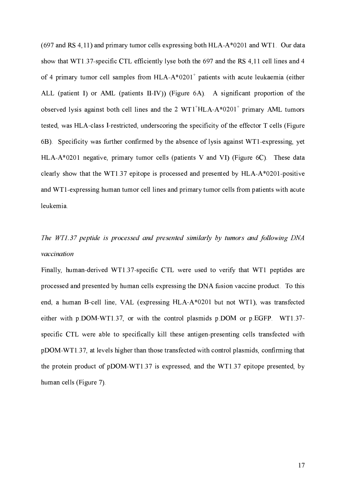$(697$  and RS 4,11) and primary tumor cells expressing both HLA-A\*0201 and WT1. Our data show that WT1.37-specific CTL efficiently lyse both the 697 and the RS 4,11 cell lines and 4 of 4 primary tumor cell samples from  $HLA-A*0201^+$  patients with acute leukaemia (either ALL (patient I) or AML (patients II-IV)) (Figure 6A). A significant proportion of the observed lysis against both cell lines and the 2  $WT1^+HLA-A^*0201^+$  primary AML tumors tested, was HLA-class I-restricted, underscoring the specificity of the effector T cells (Figure 6B). Specificity was further confirmed by the absence of lysis against WT1-expressing, yet HLA-A\*0201 negative, primary tumor cells (patients V and VI) (Figure  $6C$ ). These data clearly show that the WT1.37 epitope is processed and presented by  $HLA-A^*0201$ -positive and WT1-expressing human tumor cell lines and primary tumor cells from patients with acute leukemia.

# The WT1.37 peptide is processed and presented similarly by tumors and following DNA vaccination

Finally, human-derived WT1.37-specific CTL were used to verify that WT1 peptides are processed and presented by human cells expressing the DNA fusion vaccine product. To this end, a human B-cell line, VAL (expressing HLA-A\*0201 but not WT1), was transfected either with p.DOM-WT1.37, or with the control plasmids p.DOM or p.EGFP. WT1.37specific CTL were able to specifically kill these antigen-presenting cells transfected with pDOM-WT1.37, at levels higher than those transfected with control plasmids, confirming that the protein product of pDOM-WT1.37 is expressed, and the WT1.37 epitope presented, by human cells (Figure 7).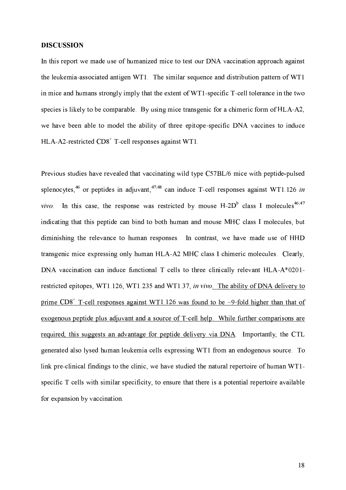#### **DISCUSSION**

In this report we made use of humanized mice to test our DNA vaccination approach against the leukemia-associated antigen WT1. The similar sequence and distribution pattern of WT1 in mice and humans strongly imply that the extent of WT1-specific T-cell tolerance in the two species is likely to be comparable. By using mice transgenic for a chimeric form of HLA-A2, we have been able to model the ability of three epitope-specific DNA vaccines to induce HLA-A2-restricted CD8<sup>+</sup> T-cell responses against WT1.

Previous studies have revealed that vaccinating wild type C57BL/6 mice with peptide-pulsed splenocytes, <sup>46</sup> or peptides in adjuvant, <sup>47,48</sup> can induce T-cell responses against WT1.126 in vivo. In this case, the response was restricted by mouse  $H-2D^b$  class I molecules<sup>46,47</sup> indicating that this peptide can bind to both human and mouse MHC class I molecules, but diminishing the relevance to human responses. In contrast, we have made use of HHD transgenic mice expressing only human HLA-A2 MHC class I chimeric molecules. Clearly, DNA vaccination can induce functional T cells to three clinically relevant HLA-A\*0201restricted epitopes, WT1.126, WT1.235 and WT1.37, in vivo. The ability of DNA delivery to prime  $CD8<sup>+</sup>$  T-cell responses against WT1.126 was found to be  $\sim$ 9-fold higher than that of exogenous peptide plus adjuvant and a source of T-cell help. While further comparisons are required, this suggests an advantage for peptide delivery via DNA. Importantly, the CTL generated also lysed human leukemia cells expressing WT1 from an endogenous source. To link pre-clinical findings to the clinic, we have studied the natural repertoire of human WT1specific T cells with similar specificity, to ensure that there is a potential repertoire available for expansion by vaccination.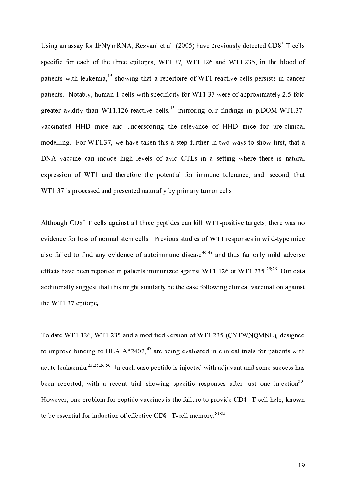Using an assay for IFN $\gamma$  mRNA, Rezvani et al. (2005) have previously detected CD8<sup>+</sup> T cells specific for each of the three epitopes, WT1.37, WT1.126 and WT1.235, in the blood of patients with leukemia,<sup>15</sup> showing that a repertoire of WT1-reactive cells persists in cancer patients. Notably, human T cells with specificity for WT1.37 were of approximately 2.5-fold greater avidity than WT1.126-reactive cells,  $15$  mirroring our findings in p.DOM-WT1.37vaccinated HHD mice and underscoring the relevance of HHD mice for pre-clinical modelling. For WT1.37, we have taken this a step further in two ways to show first, that a DNA vaccine can induce high levels of avid CTLs in a setting where there is natural expression of WT1 and therefore the potential for immune tolerance, and, second, that WT1.37 is processed and presented naturally by primary tumor cells.

Although CD8<sup>+</sup> T cells against all three peptides can kill WT1-positive targets, there was no evidence for loss of normal stem cells. Previous studies of WT1 responses in wild-type mice also failed to find any evidence of autoimmune disease<sup>46,48</sup> and thus far only mild adverse effects have been reported in patients immunized against WT1.126 or WT1.235.<sup>25;26</sup> Our data additionally suggest that this might similarly be the case following clinical vaccination against the WT1.37 epitope.

To date WT1.126, WT1.235 and a modified version of WT1.235 (CYTWNQMNL), designed to improve binding to HLA- $A^*2402$ , <sup>49</sup> are being evaluated in clinical trials for patients with acute leukaemia.<sup>23;25;26;50</sup> In each case peptide is injected with adjuvant and some success has been reported, with a recent trial showing specific responses after just one injection<sup>50</sup> However, one problem for peptide vaccines is the failure to provide CD4<sup>+</sup> T-cell help, known to be essential for induction of effective CD8<sup>+</sup> T-cell memory.<sup>51-53</sup>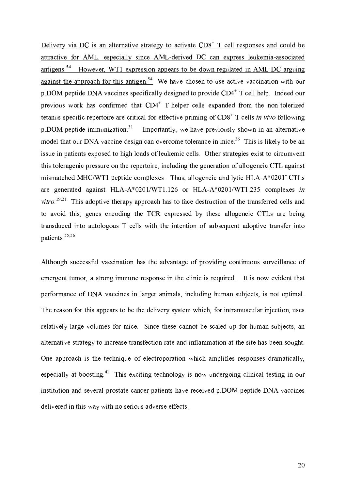Delivery via DC is an alternative strategy to activate  $CD8<sup>+</sup>$  T cell responses and could be attractive for AML, especially since AML-derived DC can express leukemia-associated antigens.<sup>54</sup> However, WT1 expression appears to be down-regulated in AML-DC arguing against the approach for this antigen.<sup>54</sup> We have chosen to use active vaccination with our p DOM-peptide DNA vaccines specifically designed to provide CD4<sup>+</sup> T cell help. Indeed our previous work has confirmed that  $CD4^+$  T-helper cells expanded from the non-tolerized tetanus-specific repertoire are critical for effective priming of  $CD8<sup>+</sup>$  T cells in vivo following  $p$  DOM-peptide immunization.<sup>31</sup> Importantly, we have previously shown in an alternative model that our DNA vaccine design can overcome tolerance in mice.<sup>36</sup> This is likely to be an issue in patients exposed to high loads of leukemic cells. Other strategies exist to circumvent this toleragenic pressure on the repertoire, including the generation of allogeneic CTL against mismatched MHC/WT1 peptide complexes. Thus, allogeneic and lytic HLA-A\*0201 CTLs are generated against HLA-A\*0201/WT1.126 or HLA-A\*0201/WT1.235 complexes in  $vitro$ <sup>19,21</sup> This adoptive therapy approach has to face destruction of the transferred cells and to avoid this, genes encoding the TCR expressed by these allogeneic CTLs are being transduced into autologous T cells with the intention of subsequent adoptive transfer into patients<sup>55,56</sup>

Although successful vaccination has the advantage of providing continuous surveillance of emergent tumor, a strong immune response in the clinic is required. It is now evident that performance of DNA vaccines in larger animals, including human subjects, is not optimal. The reason for this appears to be the delivery system which, for intramuscular injection, uses relatively large volumes for mice. Since these cannot be scaled up for human subjects, an alternative strategy to increase transfection rate and inflammation at the site has been sought. One approach is the technique of electroporation which amplifies responses dramatically, especially at boosting.<sup>41</sup> This exciting technology is now undergoing clinical testing in our institution and several prostate cancer patients have received p.DOM-peptide DNA vaccines delivered in this way with no serious adverse effects.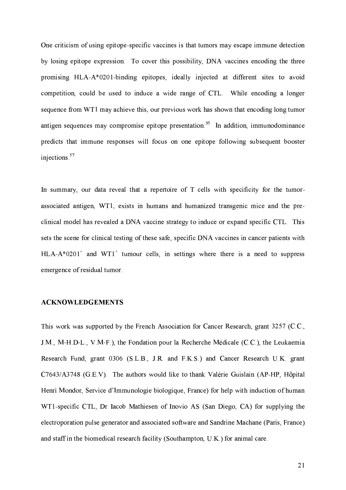One criticism of using epitope-specific vaccines is that tumors may escape immune detection by losing epitope expression. To cover this possibility, DNA vaccines encoding the three promising HLA-A\*0201-binding epitopes, ideally injected at different sites to avoid competition, could be used to induce a wide range of CTL. While encoding a longer sequence from WT1 may achieve this, our previous work has shown that encoding long tumor antigen sequences may compromise epitope presentation.<sup>35</sup> In addition, immunodominance predicts that immune responses will focus on one epitope following subsequent booster injections.<sup>57</sup>

In summary, our data reveal that a repertoire of T cells with specificity for the tumorassociated antigen, WT1, exists in humans and humanized transgenic mice and the preclinical model has revealed a DNA vaccine strategy to induce or expand specific CTL. This sets the scene for clinical testing of these safe, specific DNA vaccines in cancer patients with  $HLA-A*0201^+$  and WT1<sup>+</sup> tumour cells, in settings where there is a need to suppress emergence of residual tumor.

# **ACKNOWLEDGEMENTS**

This work was supported by the French Association for Cancer Research, grant 3257 (C.C., J.M., M-H.D-L., V.M-F.), the Fondation pour la Recherche Médicale (C.C.), the Leukaemia Research Fund, grant 0306 (S.L.B., J.R. and F.K.S.) and Cancer Research U.K. grant C7643/A3748 (G.E.V). The authors would like to thank Valérie Guislain (AP-HP, Hôpital Henri Mondor, Service d'Immunologie biologique, France) for help with induction of human WT1-specific CTL, Dr Iacob Mathiesen of Inovio AS (San Diego, CA) for supplying the electroporation pulse generator and associated software and Sandrine Machane (Paris, France) and staff in the biomedical research facility (Southampton, U.K.) for animal care.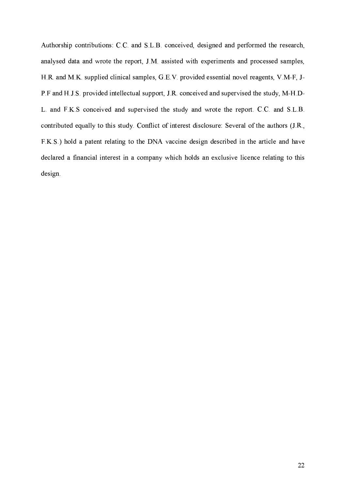Authorship contributions: C.C. and S.L.B. conceived, designed and performed the research, analysed data and wrote the report, J.M. assisted with experiments and processed samples, H.R. and M.K. supplied clinical samples, G.E.V. provided essential novel reagents, V.M-F, J-P.F and H.J.S. provided intellectual support, J.R. conceived and supervised the study, M-H.D-L and F.K.S conceived and supervised the study and wrote the report. C.C. and S.L.B. contributed equally to this study. Conflict of interest disclosure: Several of the authors (J.R., F.K.S.) hold a patent relating to the DNA vaccine design described in the article and have declared a financial interest in a company which holds an exclusive licence relating to this design.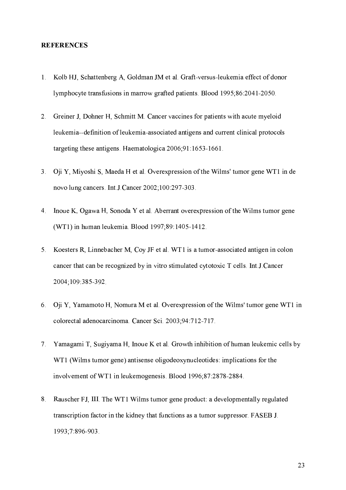#### **REFERENCES**

- 1. Kolb HJ, Schattenberg A, Goldman JM et al. Graft-versus-leukemia effect of donor lymphocyte transfusions in marrow grafted patients. Blood 1995;86:2041-2050.
- 2. Greiner J, Dohner H, Schmitt M. Cancer vaccines for patients with acute myeloid leukemia--definition of leukemia-associated antigens and current clinical protocols targeting these antigens. Haematologica 2006;91:1653-1661.
- 3. Oji Y, Miyoshi S, Maeda H et al. Overexpression of the Wilms' tumor gene WT1 in de novo lung cancers. Int.J.Cancer 2002;100:297-303.
- 4. Inoue K, Ogawa H, Sonoda Y et al. Aberrant over expression of the Wilms tumor gene (WT1) in human leukemia. Blood 1997;89:1405-1412.
- 5. Koesters R, Linnebacher M, Coy JF et al. WT1 is a tumor-associated antigen in colon cancer that can be recognized by in vitro stimulated cytotoxic T cells. Int. J. Cancer 2004;109:385-392.
- 6. Oji Y, Yamamoto H, Nomura M et al. Overexpression of the Wilms' tumor gene WT1 in colorectal adenocarcinoma. Cancer Sci. 2003;94:712-717.
- 7. Yamagami T, Sugiyama H, Inoue K et al. Growth inhibition of human leukemic cells by WT1 (Wilms tumor gene) antisense oligodeoxynucleotides: implications for the involvement of WT1 in leukemogenesis. Blood 1996;87:2878-2884.
- 8. Rauscher FJ, III. The WT1 Wilms tumor gene product: a developmentally regulated transcription factor in the kidney that functions as a tumor suppressor. FASEB J. 1993:7:896-903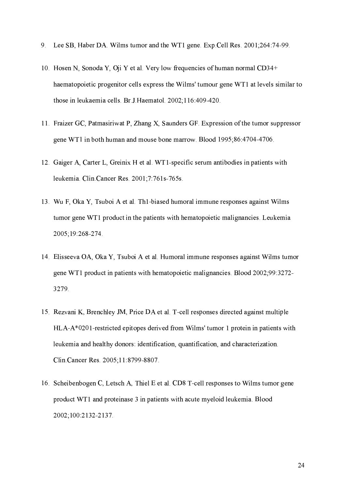- 9. Lee SB, Haber DA. Wilms tumor and the WT1 gene. Exp. Cell Res. 2001;264:74-99.
- 10. Hosen N, Sonoda Y, Oji Y et al. Very low frequencies of human normal CD34+ haematopoietic progenitor cells express the Wilms' tumour gene WT1 at levels similar to those in leukaemia cells. Br.J. Haematol. 2002;116:409-420.
- 11. Fraizer GC, Patmasiriwat P, Zhang X, Saunders GF. Expression of the tumor suppressor gene WT1 in both human and mouse bone marrow. Blood 1995;86:4704-4706.
- 12. Gaiger A, Carter L, Greinix H et al. WT1-specific serum antibodies in patients with leukemia. Clin.Cancer Res. 2001;7:761s-765s.
- 13. Wu F, Oka Y, Tsuboi A et al. Th1-biased humoral immune responses against Wilms tumor gene WT1 product in the patients with hematopoietic malignancies. Leukemia 2005:19:268-274
- 14. Elisseeva OA, Oka Y, Tsuboi A et al. Humoral immune responses against Wilms tumor gene WT1 product in patients with hematopoietic malignancies. Blood 2002;99:3272-3279.
- 15. Rezvani K, Brenchley JM, Price DA et al. T-cell responses directed against multiple HLA-A\*0201-restricted epitopes derived from Wilms' tumor 1 protein in patients with leukemia and healthy donors: identification, quantification, and characterization. Clin Cancer Res. 2005;11:8799-8807.
- 16. Scheibenbogen C, Letsch A, Thiel E et al. CD8 T-cell responses to Wilms tumor gene product WT1 and proteinase 3 in patients with acute myeloid leukemia. Blood 2002;100:2132-2137.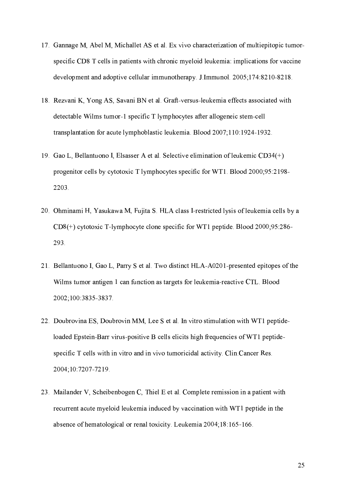- 17. Gannage M, Abel M, Michallet AS et al. Ex vivo characterization of multiepitopic tumorspecific CD8 T cells in patients with chronic myeloid leukemia: implications for vaccine development and adoptive cellular immunotherapy. J.Immunol. 2005;174:8210-8218.
- 18. Rezvani K, Yong AS, Savani BN et al. Graft-versus-leukemia effects associated with detectable Wilms tumor-1 specific T lymphocytes after allogeneic stem-cell transplantation for acute lymphoblastic leukemia. Blood 2007;110:1924-1932.
- 19. Gao L, Bellantuono I, Elsasser A et al. Selective elimination of leukemic CD34(+) progenitor cells by cytotoxic T lymphocytes specific for WT1. Blood 2000;95:2198-2203.
- 20. Ohminami H, Yasukawa M, Fujita S. HLA class I-restricted lysis of leukemia cells by a  $CD8$ <sup>(+)</sup> cytotoxic T-lymphocyte clone specific for WT1 peptide. Blood 2000;95:286-293.
- 21. Bellantuono I, Gao L, Parry S et al. Two distinct HLA-A0201-presented epitopes of the Wilms tumor antigen 1 can function as targets for leukemia-reactive CTL. Blood 2002;100:3835-3837.
- 22. Doubrovina ES, Doubrovin MM, Lee S et al. In vitro stimulation with WT1 peptideloaded Epstein-Barr virus-positive B cells elicits high frequencies of WT1 peptidespecific T cells with in vitro and in vivo tumoricidal activity. Clin Cancer Res. 2004;10:7207-7219.
- 23. Mailander V, Scheibenbogen C, Thiel E et al. Complete remission in a patient with recurrent acute myeloid leukemia induced by vaccination with WT1 peptide in the absence of hematological or renal toxicity. Leukemia 2004;18:165-166.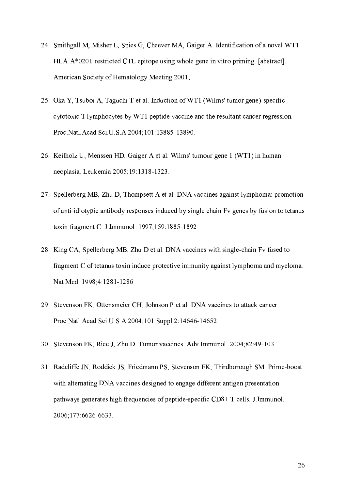- 24. Smithgall M, Misher L, Spies G, Cheever MA, Gaiger A. Identification of a novel WT1 HLA-A\*0201-restricted CTL epitope using whole gene in vitro priming. [abstract]. American Society of Hematology Meeting 2001;
- 25. Oka Y, Tsuboi A, Taguchi T et al. Induction of WT1 (Wilms' tumor gene)-specific cytotoxic T lymphocytes by WT1 peptide vaccine and the resultant cancer regression. Proc. Natl. Acad. Sci. U.S.A 2004; 101:13885-13890.
- 26. Keilholz U, Menssen HD, Gaiger A et al. Wilms' tumour gene 1 (WT1) in human neoplasia. Leukemia 2005; 19:13 18-1323.
- 27. Spellerberg MB, Zhu D, Thompsett A et al. DNA vaccines against lymphoma: promotion of anti-idiotypic antibody responses induced by single chain Fy genes by fusion to tetanus toxin fragment C. J. Immunol. 1997;159:1885-1892.
- 28. King CA, Spellerberg MB, Zhu D et al. DNA vaccines with single-chain Fv fused to fragment C of tetanus toxin induce protective immunity against lymphoma and myeloma. Nat. Med. 1998;4:1281-1286.
- 29. Stevenson FK, Ottensmeier CH, Johnson P et al. DNA vaccines to attack cancer. Proc. Natl. Acad. Sci. U.S. A 2004; 101 Suppl 2:14646-14652.
- 30. Stevenson FK, Rice J, Zhu D. Tumor vaccines. Adv. Immunol. 2004;82:49-103.
- 31. Radcliffe JN, Roddick JS, Friedmann PS, Stevenson FK, Thirdborough SM. Prime-boost with alternating DNA vaccines designed to engage different antigen presentation pathways generates high frequencies of peptide-specific CD8+ T cells. J.Immunol. 2006;177:6626-6633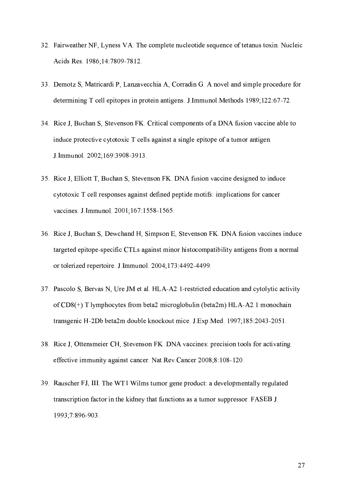- 32. Fairweather NF, Lyness VA. The complete nucleotide sequence of tetanus toxin. Nucleic Acids Res. 1986;14:7809-7812.
- 33. Demotz S, Matricardi P, Lanzavecchia A, Corradin G. A novel and simple procedure for determining T cell epitopes in protein antigens. J.Immunol.Methods 1989;122:67-72.
- 34. Rice J, Buchan S, Stevenson FK. Critical components of a DNA fusion vaccine able to induce protective cytotoxic T cells against a single epitope of a tumor antigen. J. Immunol. 2002;169:3908-3913.
- 35. Rice J, Elliott T, Buchan S, Stevenson FK. DNA fusion vaccine designed to induce cytotoxic T cell responses against defined peptide motifs: implications for cancer vaccines. J. Immunol. 2001;167:1558-1565.
- 36. Rice J, Buchan S, Dewchand H, Simpson E, Stevenson FK. DNA fusion vaccines induce targeted epitope-specific CTLs against minor histocompatibility antigens from a normal or tolerized repertoire. J.Immunol. 2004;173:4492-4499.
- 37. Pascolo S, Bervas N, Ure JM et al. HLA-A2.1-restricted education and cytolytic activity of  $CD8$ (+) T lymphocytes from beta2 microglobulin (beta2m) HLA-A2.1 monochain transgenic H-2Db beta2m double knockout mice. J Exp.Med. 1997;185:2043-2051.
- 38. Rice J, Ottensmeier CH, Stevenson FK. DNA vaccines: precision tools for activating effective immunity against cancer. Nat. Rev. Cancer 2008;8:108-120.
- 39. Rauscher FJ, III. The WT1 Wilms tumor gene product: a developmentally regulated transcription factor in the kidney that functions as a tumor suppressor. FASEB J. 1993;7:896-903.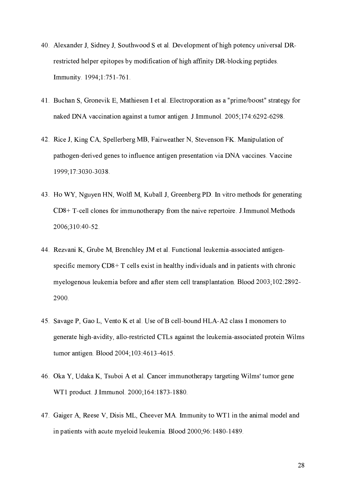- 40. Alexander J, Sidney J, Southwood S et al. Development of high potency universal DRrestricted helper epitopes by modification of high affinity DR-blocking peptides. Immunity. 1994;1:751-761.
- 41. Buchan S, Gronevik E, Mathiesen I et al. Electroporation as a "prime/boost" strategy for naked DNA vaccination against a tumor antigen. J Immunol. 2005;174:6292-6298.
- 42. Rice J, King CA, Spellerberg MB, Fairweather N, Stevenson FK. Manipulation of pathogen-derived genes to influence antigen presentation via DNA vaccines. Vaccine 1999:17:3030-3038
- 43. Ho WY, Nguyen HN, Wolfl M, Kuball J, Greenberg PD. In vitro methods for generating CD8+ T-cell clones for immunotherapy from the naive repertoire. J.Immunol.Methods 2006;310:40-52.
- 44 Rezvani K, Grube M, Brenchley JM et al. Functional leukemia-associated antigenspecific memory  $CD8+T$  cells exist in healthy individuals and in patients with chronic myelogenous leukemia before and after stem cell transplantation. Blood 2003;102:2892-2900.
- 45. Savage P, Gao L, Vento K et al. Use of B cell-bound HLA-A2 class I monomers to generate high-avidity, allo-restricted CTLs against the leukemia-associated protein Wilms tumor antigen. Blood 2004;103:4613-4615.
- 46. Oka Y, Udaka K, Tsuboi A et al. Cancer immunotherapy targeting Wilms' tumor gene WT1 product. J.Immunol. 2000;164:1873-1880.
- 47. Gaiger A, Reese V, Disis ML, Cheever MA. Immunity to WT1 in the animal model and in patients with acute myeloid leukemia. Blood 2000;96:1480-1489.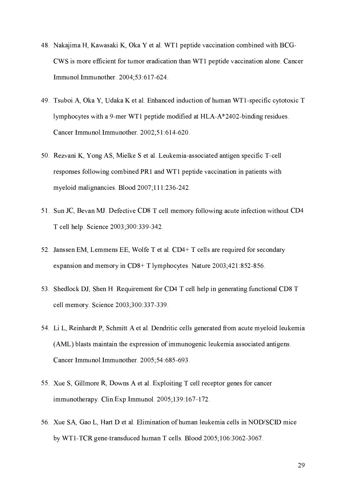- 48. Nakajima H, Kawasaki K, Oka Y et al. WT1 peptide vaccination combined with BCG-CWS is more efficient for tumor eradication than WT1 peptide vaccination alone. Cancer Immunol Immunother 2004;53:617-624.
- 49. Tsuboi A, Oka Y, Udaka K et al. Enhanced induction of human WT1-specific cytotoxic T lymphocytes with a 9-mer WT1 peptide modified at HLA-A\*2402-binding residues. Cancer Immunol Immunother. 2002;51:614-620.
- 50. Rezvani K, Yong AS, Mielke S et al. Leukemia-associated antigen specific T-cell responses following combined PR1 and WT1 peptide vaccination in patients with myeloid malignancies. Blood 2007;111:236-242.
- 51. Sun JC, Bevan MJ. Defective CD8 T cell memory following acute infection without CD4 T cell help. Science 2003;300:339-342.
- 52. Janssen EM, Lemmens EE, Wolfe T et al. CD4+ T cells are required for secondary expansion and memory in CD8+ T lymphocytes. Nature 2003;421:852-856.
- 53. Shedlock DJ, Shen H. Requirement for CD4 T cell help in generating functional CD8 T cell memory. Science 2003;300:337-339.
- 54. Li L, Reinhardt P, Schmitt A et al. Dendritic cells generated from acute myeloid leukemia (AML) blasts maintain the expression of immunogenic leukemia associated antigens. Cancer Immunol Immunother. 2005;54:685-693.
- 55. Xue S, Gillmore R, Downs A et al. Exploiting T cell receptor genes for cancer immunotherapy. Clin Exp. Immunol. 2005;139:167-172.
- 56. Xue SA, Gao L, Hart D et al. Elimination of human leukemia cells in NOD/SCID mice by WT1-TCR gene-transduced human T cells. Blood 2005;106:3062-3067.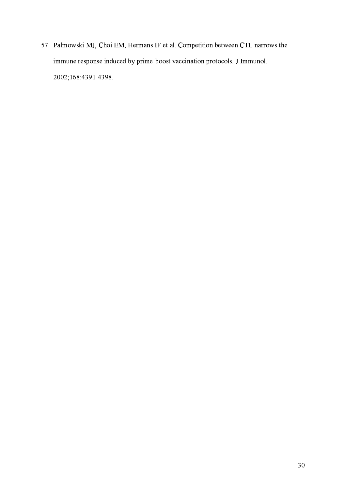57. Palmowski MJ, Choi EM, Hermans IF et al. Competition between CTL narrows the immune response induced by prime-boost vaccination protocols. J.Immunol. 2002;168:4391-4398.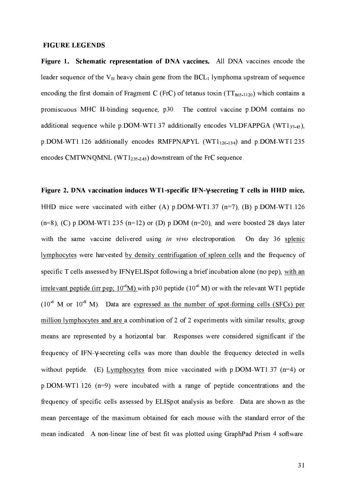#### **FIGURE LEGENDS**

Figure 1. Schematic representation of DNA vaccines. All DNA vaccines encode the leader sequence of the  $V_H$  heavy chain gene from the  $BCL_1$  lymphoma upstream of sequence encoding the first domain of Fragment C (FrC) of tetanus toxin ( $TT_{865-1120}$ ) which contains a promiscuous MHC II-binding sequence, p30. The control vaccine pDOM contains no additional sequence while  $p$  DOM-WT1.37 additionally encodes VLDFAPPGA (WT1 $_{37-45}$ ),  $p$  DOM-WT1.126 additionally encodes RMFPNAPYL (WT1 $_{126-134}$ ) and  $p$  DOM-WT1.235 encodes CMTWNQMNL (WT1 $_{235-243}$ ) downstream of the FrC sequence.

Figure 2. DNA vaccination induces WT1-specific IFN-y-secreting T cells in HHD mice. HHD mice were vaccinated with either (A)  $p$ , DOM-WT1.37 (n=7), (B)  $p$ , DOM-WT1.126  $(n=8)$ , (C) p.DOM-WT1.235 (n=12) or (D) p.DOM (n=20), and were boosted 28 days later with the same vaccine delivered using in vivo electroporation. On day 36 splenic lymphocytes were harvested by density centrifugation of spleen cells and the frequency of specific T cells assessed by IFNy ELISpot following a brief incubation alone (no pep), with an irrelevant peptide (irr pep;  $10^{-6}$ M) with p30 peptide ( $10^{-6}$  M) or with the relevant WT1 peptide  $(10^{-6}$  M or  $10^{-8}$  M). Data are expressed as the number of spot-forming cells (SFCs) per million lymphocytes and are a combination of 2 of 2 experiments with similar results; group means are represented by a horizontal bar. Responses were considered significant if the frequency of IFN-y-secreting cells was more than double the frequency detected in wells without peptide. (E) Lymphocytes from mice vaccinated with  $p$  DOM-WT1.37 ( $n=4$ ) or  $p$  DOM-WT1.126 ( $n=9$ ) were incubated with a range of peptide concentrations and the frequency of specific cells assessed by ELISpot analysis as before. Data are shown as the mean percentage of the maximum obtained for each mouse with the standard error of the mean indicated. A non-linear line of best fit was plotted using GraphPad Prism 4 software.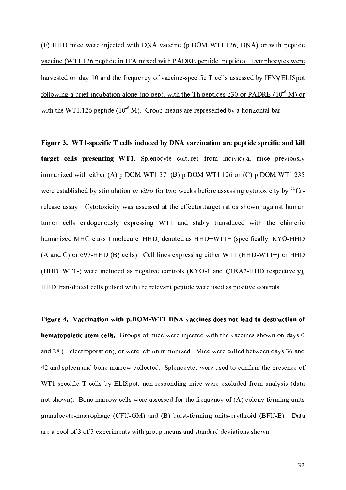(F) HHD mice were injected with DNA vaccine (p.DOM-WT1.126; DNA) or with peptide vaccine (WT1.126 peptide in IFA mixed with PADRE peptide: peptide). Lymphocytes were harvested on day 10 and the frequency of vaccine-specific T cells assessed by IFNy ELISpot following a brief incubation alone (no pep), with the Th peptides p30 or PADRE  $(10^6 \text{ M})$  or with the WT1.126 peptide  $(10^{-6} \text{ M})$ . Group means are represented by a horizontal bar.

Figure 3. WT1-specific T cells induced by DNA vaccination are peptide specific and kill target cells presenting WT1. Splenocyte cultures from individual mice previously immunized with either (A)  $p$  DOM-WT1.37, (B)  $p$  DOM-WT1.126 or (C)  $p$  DOM-WT1.235 were established by stimulation in vitro for two weeks before assessing cytotoxicity by  ${}^{51}Cr$ release assay. Cytotoxicity was assessed at the effector target ratios shown, against human tumor cells endogenously expressing WT1 and stably transduced with the chimeric humanized MHC class I molecule, HHD, denoted as HHD+WT1+ (specifically, KYO-HHD (A and C) or 697-HHD (B) cells). Cell lines expressing either WT1 (HHD-WT1+) or HHD (HHD+WT1-) were included as negative controls (KYO-1 and C1RA2-HHD respectively), HHD-transduced cells pulsed with the relevant peptide were used as positive controls.

Figure 4. Vaccination with p.DOM-WT1 DNA vaccines does not lead to destruction of hematopoietic stem cells. Groups of mice were injected with the vaccines shown on days 0 and 28 (+ electroporation), or were left unimmunized. Mice were culled between days 36 and 42 and spleen and bone marrow collected. Splenocytes were used to confirm the presence of WT1-specific T cells by ELISpot; non-responding mice were excluded from analysis (data not shown). Bone marrow cells were assessed for the frequency of (A) colony-forming units granulocyte-macrophage (CFU-GM) and (B) burst-forming units-erythroid (BFU-E). Data are a pool of 3 of 3 experiments with group means and standard deviations shown.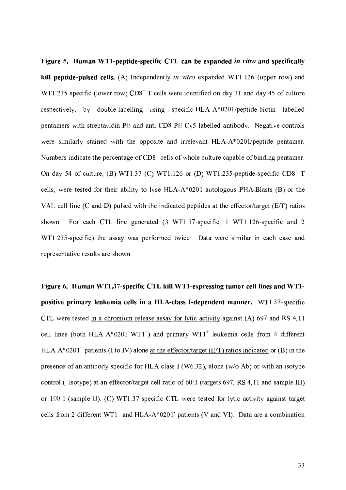Figure 5. Human WT1-peptide-specific CTL can be expanded in vitro and specifically kill peptide-pulsed cells. (A) Independently *in vitro* expanded WT1.126 (upper row) and WT1.235-specific (lower row)  $CD8<sup>+</sup>$  T cells were identified on day 31 and day 45 of culture respectively, by double-labelling using specific-HLA-A\*0201/peptide-biotin labelled pentamers with streptavidin-PE and anti-CD8-PE-Cy5 labelled antibody. Negative controls were similarly stained with the opposite and irrelevant HLA-A\*0201/peptide pentamer. Numbers indicate the percentage of CD8<sup>+</sup> cells of whole culture capable of binding pentamer. On day 54 of culture, (B) WT1.37 (C) WT1.126 or (D) WT1.235-peptide-specific CD8<sup>+</sup> T cells, were tested for their ability to lyse HLA-A\*0201 autologous PHA-Blasts (B) or the VAL cell line (C and D) pulsed with the indicated peptides at the effector/target (E/T) ratios For each CTL line generated (3 WT1.37-specific, 1 WT1.126-specific and 2 shown. WT1.235-specific) the assay was performed twice. Data were similar in each case and representative results are shown.

Figure 6. Human WT1.37-specific CTL kill WT1-expressing tumor cell lines and WT1positive primary leukemia cells in a HLA-class I-dependent manner. WT1.37-specific CTL were tested in a chromium release assay for lytic activity against (A) 697 and RS 4,11 cell lines (both HLA-A\*0201<sup>+</sup>WT1<sup>+</sup>) and primary WT1<sup>+</sup> leukemia cells from 4 different HLA-A\*0201<sup>+</sup> patients (I to IV) alone at the effector/target (E/T) ratios indicated or (B) in the presence of an antibody specific for HLA-class I (W6.32), alone (w/o Ab) or with an isotype control (+isotype) at an effector/target cell ratio of 60:1 (targets 697, RS 4,11 and sample III) or 100:1 (sample II). (C) WT1.37-specific CTL were tested for lytic activity against target cells from 2 different  $WT1^+$  and  $HLA-A^*0201$  patients (V and VI). Data are a combination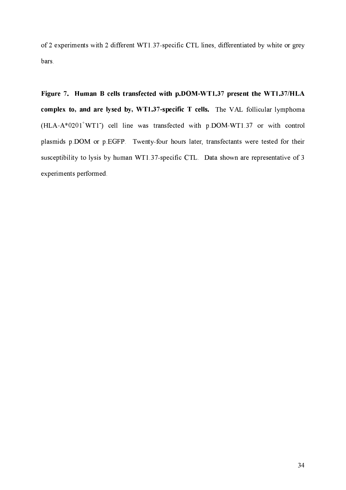of 2 experiments with 2 different WT1.37-specific CTL lines, differentiated by white or grey bars.

Figure 7. Human B cells transfected with p.DOM-WT1.37 present the WT1.37/HLA complex to, and are lysed by, WT1.37-specific T cells. The VAL follicular lymphoma (HLA-A\*0201<sup>+</sup>WT1) cell line was transfected with p.DOM-WT1.37 or with control plasmids p.DOM or p.EGFP. Twenty-four hours later, transfectants were tested for their susceptibility to lysis by human WT1.37-specific CTL. Data shown are representative of 3 experiments performed.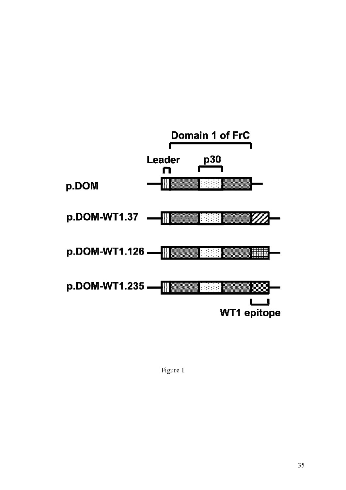

Figure 1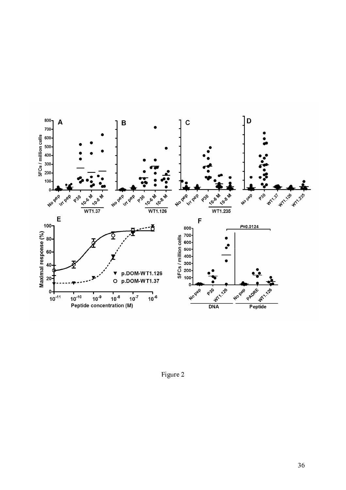

Figure 2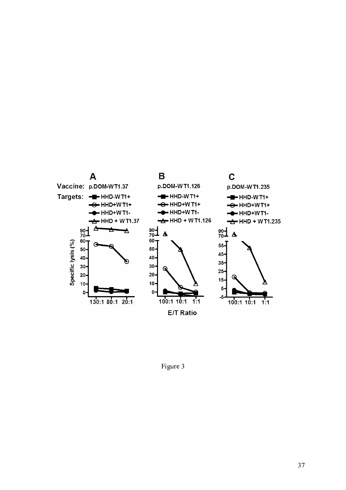

Figure 3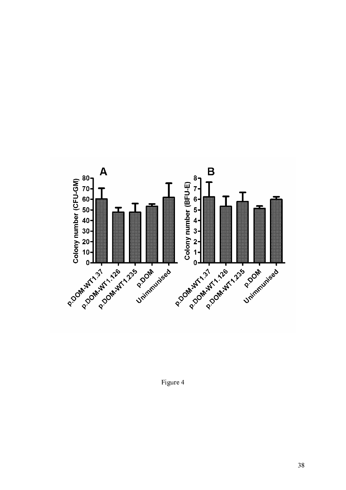

Figure 4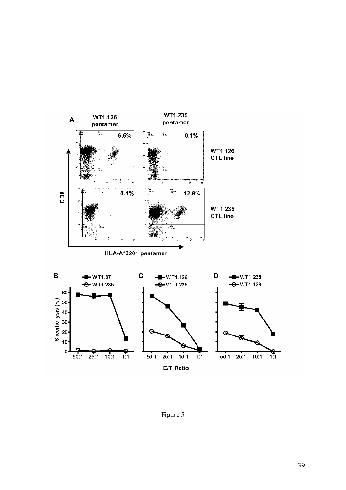

Figure 5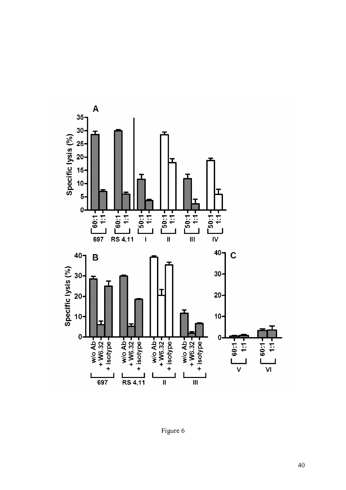

Figure 6